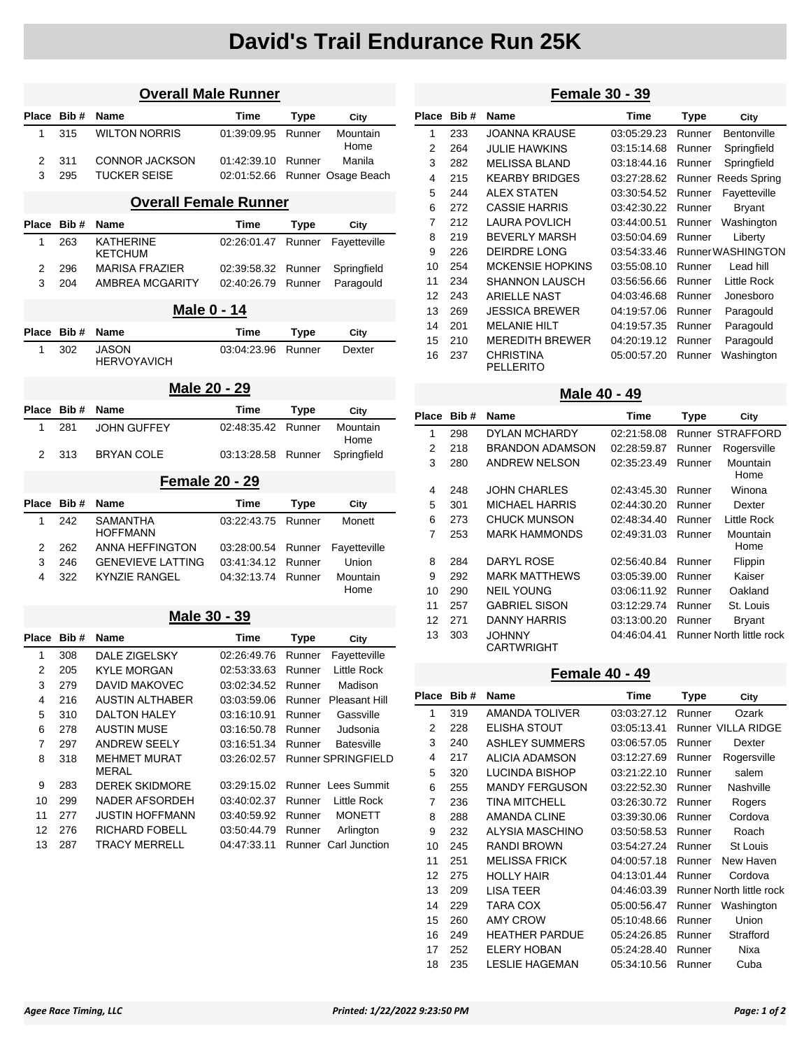# **David's Trail Endurance Run 25K**

| <b>Overall Male Runner</b> |              |                                     |             |             |                      |  |  |
|----------------------------|--------------|-------------------------------------|-------------|-------------|----------------------|--|--|
| Place                      | Bib#         | <b>Name</b>                         | Time        | Type        | City                 |  |  |
| 1                          | 315          | <b>WILTON NORRIS</b>                | 01:39:09.95 | Runner      | Mountain<br>Home     |  |  |
| 2                          | 311          | <b>CONNOR JACKSON</b>               | 01:42:39.10 | Runner      | Manila               |  |  |
| 3                          | 295          | <b>TUCKER SEISE</b>                 | 02:01:52.66 |             | Runner Osage Beach   |  |  |
|                            |              | <b>Overall Female Runner</b>        |             |             |                      |  |  |
| Place                      | Bib#         | Name                                | Time        | Type        | City                 |  |  |
| 1                          | 263          | KATHERINE<br>KETCHUM                | 02:26:01.47 | Runner      | Fayetteville         |  |  |
| 2                          | 296          | <b>MARISA FRAZIER</b>               | 02:39:58.32 | Runner      | Springfield          |  |  |
| 3                          | 204          | AMBREA MCGARITY                     | 02:40:26.79 | Runner      | Paragould            |  |  |
|                            |              | <u>Male 0 - 14</u>                  |             |             |                      |  |  |
| <b>Place</b>               | Bib#         | <b>Name</b>                         | Time        | Type        | City                 |  |  |
| 1                          | 302          | <b>JASON</b><br><b>HERVOYAVICH</b>  | 03:04:23.96 | Runner      | Dexter               |  |  |
|                            | Male 20 - 29 |                                     |             |             |                      |  |  |
| <b>Place</b>               | Bib#         | <b>Name</b>                         | Time        | Type        | City                 |  |  |
| 1                          | 281          | <b>JOHN GUFFEY</b>                  | 02:48:35.42 | Runner      | Mountain<br>Home     |  |  |
| 2                          | 313          | <b>BRYAN COLE</b>                   | 03:13:28.58 | Runner      | Springfield          |  |  |
|                            |              | <b>Female 20 - 29</b>               |             |             |                      |  |  |
| Place                      | Bib#         | Name                                | <b>Time</b> | <b>Type</b> | City                 |  |  |
| 1                          | 242          | <b>SAMANTHA</b><br><b>HOFFMANN</b>  | 03:22:43.75 | Runner      | Monett               |  |  |
| 2                          | 262          | <b>ANNA HEFFINGTON</b>              | 03:28:00.54 | Runner      | Fayetteville         |  |  |
| 3                          | 246          | <b>GENEVIEVE LATTING</b>            | 03:41:34.12 | Runner      | Union                |  |  |
| 4                          | 322          | <b>KYNZIE RANGEL</b>                | 04:32:13.74 | Runner      | Mountain<br>Home     |  |  |
|                            |              | Male 30 - 39                        |             |             |                      |  |  |
| Place                      | Bib#         | <b>Name</b>                         | Time        | <b>Type</b> | City                 |  |  |
| 1                          | 308          | <b>DALE ZIGELSKY</b>                | 02:26:49.76 | Runner      | Fayetteville         |  |  |
| 2                          | 205          | <b>KYLE MORGAN</b>                  | 02:53:33.63 | Runner      | <b>Little Rock</b>   |  |  |
| 3                          | 279          | <b>DAVID MAKOVEC</b>                | 03:02:34.52 | Runner      | Madison              |  |  |
| 4                          | 216          | <b>AUSTIN ALTHABER</b>              | 03:03:59.06 | Runner      | <b>Pleasant Hill</b> |  |  |
| 5                          | 310          | <b>DALTON HALEY</b>                 | 03:16:10.91 | Runner      | Gassville            |  |  |
| 6                          | 278          | <b>AUSTIN MUSE</b>                  | 03:16:50.78 | Runner      | Judsonia             |  |  |
| $\overline{7}$             | 297          | <b>ANDREW SEELY</b>                 | 03:16:51.34 | Runner      | <b>Batesville</b>    |  |  |
| 8                          | 318          | <b>MEHMET MURAT</b><br><b>MERAL</b> | 03:26:02.57 |             | Runner SPRINGFIELD   |  |  |
| 9                          | 283          | <b>DEREK SKIDMORE</b>               | 03:29:15.02 |             | Runner Lees Summit   |  |  |
| 10                         | 299          | NADER AFSORDEH                      | 03:40:02.37 | Runner      | Little Rock          |  |  |
| 11                         | 277          | <b>JUSTIN HOFFMANN</b>              | 03:40:59.92 | Runner      | <b>MONETT</b>        |  |  |
| 12                         | 276          | RICHARD FOBELL                      | 03:50:44.79 | Runner      | Arlington            |  |  |
| 13                         | 287          | <b>TRACY MERRELL</b>                | 04:47:33.11 |             | Runner Carl Junction |  |  |

### **Female 30 - 39**

| Place          | Bib# | <b>Name</b>                          | Time        | Type   | City                |
|----------------|------|--------------------------------------|-------------|--------|---------------------|
| 1              | 233  | <b>JOANNA KRAUSE</b>                 | 03:05:29.23 | Runner | Bentonville         |
| 2              | 264  | <b>JULIE HAWKINS</b>                 | 03:15:14.68 | Runner | Springfield         |
| 3              | 282  | <b>MELISSA BLAND</b>                 | 03:18:44.16 | Runner | Springfield         |
| 4              | 215  | <b>KEARBY BRIDGES</b>                | 03:27:28.62 |        | Runner Reeds Spring |
| 5              | 244  | <b>ALEX STATEN</b>                   | 03:30:54.52 | Runner | Fayetteville        |
| 6              | 272  | <b>CASSIE HARRIS</b>                 | 03:42:30.22 | Runner | <b>Bryant</b>       |
| $\overline{7}$ | 212  | LAURA POVLICH                        | 03:44:00.51 | Runner | Washington          |
| 8              | 219  | <b>BEVERLY MARSH</b>                 | 03:50:04.69 | Runner | Liberty             |
| 9              | 226  | DEIRDRE LONG                         | 03:54:33.46 |        | Runner WASHINGTON   |
| 10             | 254  | <b>MCKENSIE HOPKINS</b>              | 03:55:08.10 | Runner | Lead hill           |
| 11             | 234  | <b>SHANNON LAUSCH</b>                | 03:56:56.66 | Runner | Little Rock         |
| 12             | 243  | ARIFLL F NAST                        | 04:03:46.68 | Runner | Jonesboro           |
| 13             | 269  | <b>JESSICA BREWER</b>                | 04:19:57.06 | Runner | Paragould           |
| 14             | 201  | <b>MELANIE HILT</b>                  | 04:19:57.35 | Runner | Paragould           |
| 15             | 210  | <b>MEREDITH BREWER</b>               | 04:20:19.12 | Runner | Paragould           |
| 16             | 237  | <b>CHRISTINA</b><br><b>PELLERITO</b> | 05:00:57.20 | Runner | Washington          |

#### **Male 40 - 49**

| Place | Bib# | <b>Name</b>                 | Time        | Type   | City                     |
|-------|------|-----------------------------|-------------|--------|--------------------------|
| 1     | 298  | DYLAN MCHARDY               | 02:21:58.08 |        | <b>Runner STRAFFORD</b>  |
| 2     | 218  | <b>BRANDON ADAMSON</b>      | 02:28:59.87 | Runner | Rogersville              |
| 3     | 280  | <b>ANDREW NELSON</b>        | 02:35:23.49 | Runner | Mountain<br>Home         |
| 4     | 248  | <b>JOHN CHARLES</b>         | 02:43:45.30 | Runner | Winona                   |
| 5     | 301  | MICHAEL HARRIS              | 02:44:30.20 | Runner | Dexter                   |
| 6     | 273  | <b>CHUCK MUNSON</b>         | 02:48:34.40 | Runner | Little Rock              |
| 7     | 253  | <b>MARK HAMMONDS</b>        | 02:49:31.03 | Runner | Mountain<br>Home         |
| 8     | 284  | DARYL ROSE                  | 02:56:40.84 | Runner | Flippin                  |
| 9     | 292  | <b>MARK MATTHEWS</b>        | 03:05:39.00 | Runner | Kaiser                   |
| 10    | 290  | <b>NEIL YOUNG</b>           | 03:06:11.92 | Runner | Oakland                  |
| 11    | 257  | <b>GABRIEL SISON</b>        | 03:12:29.74 | Runner | St. Louis                |
| 12    | 271  | <b>DANNY HARRIS</b>         | 03:13:00.20 | Runner | <b>Bryant</b>            |
| 13    | 303  | <b>JOHNNY</b><br>CARTWRIGHT | 04:46:04.41 |        | Runner North little rock |

### **Female 40 - 49**

| Place | Bib# | <b>Name</b>           | Time        | <b>Type</b> | City                     |
|-------|------|-----------------------|-------------|-------------|--------------------------|
| 1     | 319  | AMANDA TOLIVER        | 03:03:27.12 | Runner      | Ozark                    |
| 2     | 228  | ELISHA STOUT          | 03:05:13.41 |             | Runner VILLA RIDGE       |
| 3     | 240  | <b>ASHLEY SUMMERS</b> | 03:06:57.05 | Runner      | Dexter                   |
| 4     | 217  | ALICIA ADAMSON        | 03:12:27.69 | Runner      | Rogersville              |
| 5     | 320  | <b>LUCINDA BISHOP</b> | 03:21:22.10 | Runner      | salem                    |
| 6     | 255  | <b>MANDY FERGUSON</b> | 03:22:52.30 | Runner      | Nashville                |
| 7     | 236  | TINA MITCHELL         | 03:26:30.72 | Runner      | Rogers                   |
| 8     | 288  | <b>AMANDA CLINE</b>   | 03:39:30.06 | Runner      | Cordova                  |
| 9     | 232  | ALYSIA MASCHINO       | 03:50:58.53 | Runner      | Roach                    |
| 10    | 245  | <b>RANDI BROWN</b>    | 03:54:27.24 | Runner      | St Louis                 |
| 11    | 251  | <b>MELISSA FRICK</b>  | 04:00:57.18 | Runner      | New Haven                |
| 12    | 275  | <b>HOLLY HAIR</b>     | 04:13:01.44 | Runner      | Cordova                  |
| 13    | 209  | <b>LISA TEER</b>      | 04:46:03.39 |             | Runner North little rock |
| 14    | 229  | <b>TARA COX</b>       | 05:00:56.47 | Runner      | Washington               |
| 15    | 260  | <b>AMY CROW</b>       | 05:10:48.66 | Runner      | Union                    |
| 16    | 249  | <b>HEATHER PARDUE</b> | 05:24:26.85 | Runner      | Strafford                |
| 17    | 252  | <b>ELERY HOBAN</b>    | 05:24:28.40 | Runner      | Nixa                     |
| 18    | 235  | <b>LESLIE HAGEMAN</b> | 05:34:10.56 | Runner      | Cuba                     |